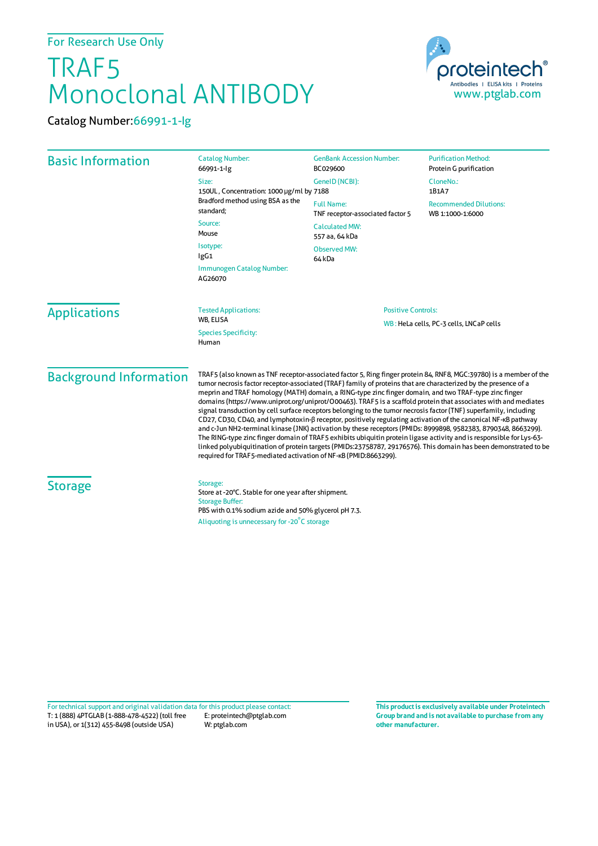## For Research Use Only

## TRAF5 Monoclonal ANTIBODY



Catalog Number:66991-1-Ig

| <b>Basic Information</b>      | <b>Catalog Number:</b><br>66991-1-lg<br>Size:<br>150UL, Concentration: 1000 µg/ml by 7188<br>Bradford method using BSA as the<br>standard;<br>Source:<br>Mouse<br>Isotype:<br>IgG1<br>Immunogen Catalog Number:                                                                                                                                                                                                                                                                                                                                                                                                                                                                                                                                                                                                                                                                                                                                                                                                                                                                                                                                | <b>GenBank Accession Number:</b><br>BC029600<br>GenelD (NCBI):<br><b>Full Name:</b><br>TNF receptor-associated factor 5<br><b>Calculated MW:</b><br>557 aa, 64 kDa<br><b>Observed MW:</b><br>64 kDa | <b>Purification Method:</b><br>Protein G purification<br>CloneNo.:<br>1B1A7<br><b>Recommended Dilutions:</b><br>WB 1:1000-1:6000 |  |
|-------------------------------|------------------------------------------------------------------------------------------------------------------------------------------------------------------------------------------------------------------------------------------------------------------------------------------------------------------------------------------------------------------------------------------------------------------------------------------------------------------------------------------------------------------------------------------------------------------------------------------------------------------------------------------------------------------------------------------------------------------------------------------------------------------------------------------------------------------------------------------------------------------------------------------------------------------------------------------------------------------------------------------------------------------------------------------------------------------------------------------------------------------------------------------------|-----------------------------------------------------------------------------------------------------------------------------------------------------------------------------------------------------|----------------------------------------------------------------------------------------------------------------------------------|--|
| <b>Applications</b>           | AG26070<br><b>Tested Applications:</b><br>WB, ELISA<br><b>Species Specificity:</b><br>Human                                                                                                                                                                                                                                                                                                                                                                                                                                                                                                                                                                                                                                                                                                                                                                                                                                                                                                                                                                                                                                                    |                                                                                                                                                                                                     | <b>Positive Controls:</b><br>WB: HeLa cells, PC-3 cells, LNCaP cells                                                             |  |
| <b>Background Information</b> | TRAF5 (also known as TNF receptor-associated factor 5, Ring finger protein 84, RNF8, MGC:39780) is a member of the<br>tumor necrosis factor receptor-associated (TRAF) family of proteins that are characterized by the presence of a<br>meprin and TRAF homology (MATH) domain, a RING-type zinc finger domain, and two TRAF-type zinc finger<br>domains (https://www.uniprot.org/uniprot/000463). TRAF5 is a scaffold protein that associates with and mediates<br>signal transduction by cell surface receptors belonging to the tumor necrosis factor (TNF) superfamily, including<br>CD27, CD30, CD40, and lymphotoxin- $\beta$ receptor, positively regulating activation of the canonical NF-KB pathway<br>and c-Jun NH2-terminal kinase (JNK) activation by these receptors (PMIDs: 8999898, 9582383, 8790348, 8663299).<br>The RING-type zinc finger domain of TRAF5 exhibits ubiquitin protein ligase activity and is responsible for Lys-63-<br>linked polyubiquitination of protein targets (PMIDs:23758787, 29176576). This domain has been demonstrated to be<br>required for TRAF5-mediated activation of NF-KB (PMID:8663299). |                                                                                                                                                                                                     |                                                                                                                                  |  |
| <b>Storage</b>                | Storage:<br>Store at -20°C. Stable for one year after shipment.<br><b>Storage Buffer:</b><br>PBS with 0.1% sodium azide and 50% glycerol pH 7.3.<br>Aliquoting is unnecessary for -20°C storage                                                                                                                                                                                                                                                                                                                                                                                                                                                                                                                                                                                                                                                                                                                                                                                                                                                                                                                                                |                                                                                                                                                                                                     |                                                                                                                                  |  |

T: 1 (888) 4PTGLAB (1-888-478-4522) (toll free E: proteintech@ptglab.com in USA), or 1(312) 455-8498 (outside USA) W: ptglab.com Fortechnical support and original validation data forthis product please contact: **This productis exclusively available under Proteintech**

**Group brand and is not available to purchase from any other manufacturer.**